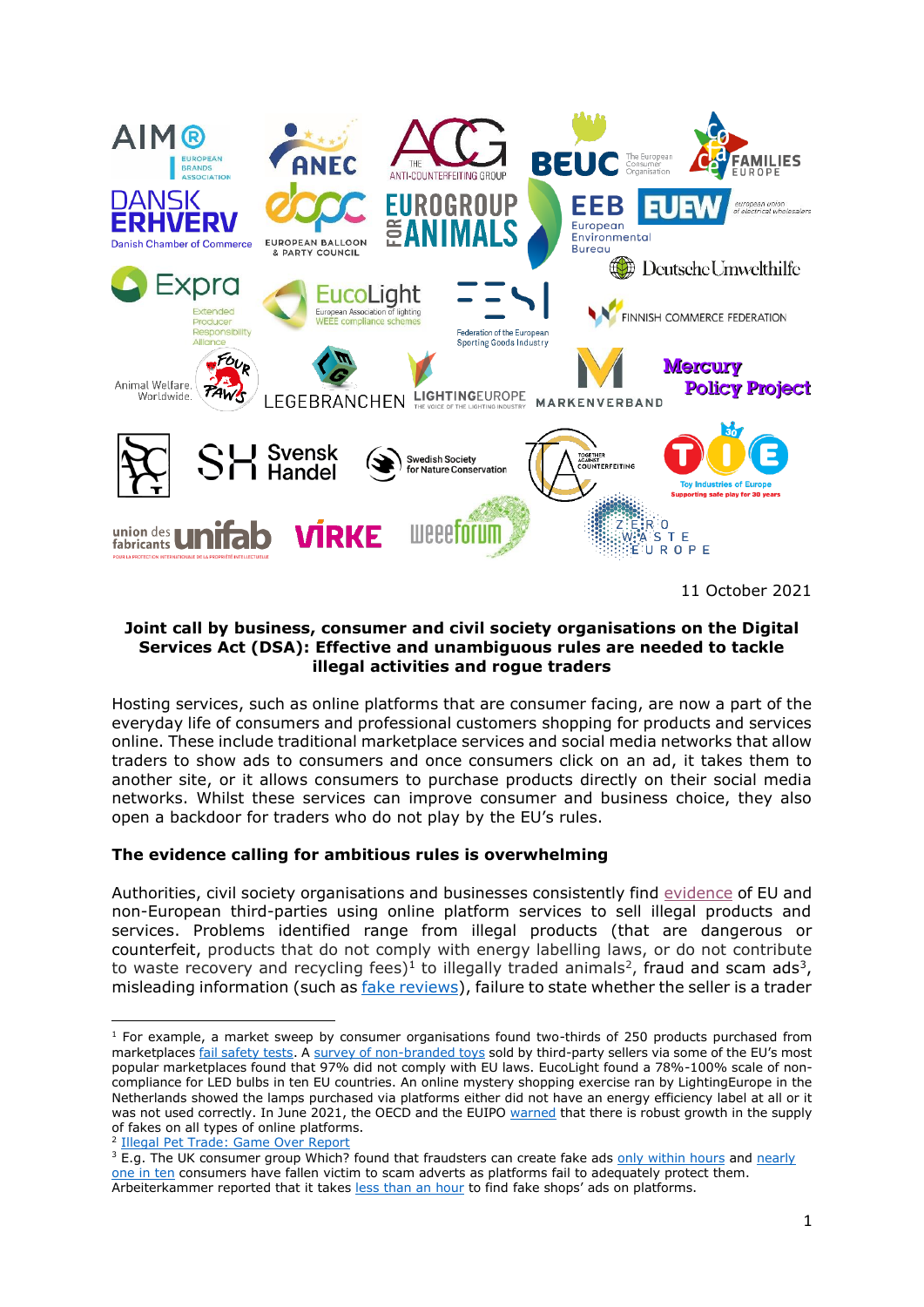

11 October 2021

## **Joint call by business, consumer and civil society organisations on the Digital Services Act (DSA): Effective and unambiguous rules are needed to tackle illegal activities and rogue traders**

Hosting services, such as online platforms that are consumer facing, are now a part of the everyday life of consumers and professional customers shopping for products and services online. These include traditional marketplace services and social media networks that allow traders to show ads to consumers and once consumers click on an ad, it takes them to another site, or it allows consumers to purchase products directly on their social media networks. Whilst these services can improve consumer and business choice, they also open a backdoor for traders who do not play by the EU's rules.

## **The evidence calling for ambitious rules is overwhelming**

Authorities, civil society organisations and businesses consistently find [evidence](https://www.beuc.eu/publications/unsafe_and_illegal_activities_online.pdf) of EU and non-European third-parties using online platform services to sell illegal products and services. Problems identified range from illegal products (that are dangerous or counterfeit, products that do not comply with energy labelling laws, or do not contribute to waste recovery and recycling fees)<sup>1</sup> to illegally traded animals<sup>2</sup>, fraud and scam ads<sup>3</sup>, misleading information (such as *fake reviews*), failure to state whether the seller is a trader

<sup>&</sup>lt;sup>1</sup> For example, a market sweep by consumer organisations found two-thirds of 250 products purchased from marketplaces [fail safety tests.](https://www.beuc.eu/sites/default/files/icrt_product_safety_online_marketplaces.pdf) A [survey of non-branded toys](https://www.toyindustries.eu/press-release-eu-toy-safety-toy-industry-calls-for-eu-rules-to-enforce-online-marketplaces-to-weed-out-illegal-traders/) sold by third-party sellers via some of the EU's most popular marketplaces found that 97% did not comply with EU laws. EucoLight found a 78%-100% scale of noncompliance for LED bulbs in ten EU countries. An online mystery shopping exercise ran by LightingEurope in the Netherlands showed the lamps purchased via platforms either did not have an energy efficiency label at all or it was not used correctly. In June 2021, the OECD and the EUIPO [warned](https://euipo.europa.eu/tunnel-web/secure/webdav/guest/document_library/observatory/documents/reports/2021_EUIPO_OECD_Report_Fakes/2021_EUIPO_OECD_Trate_Fakes_Study_FullR_en.pdf) that there is robust growth in the supply of fakes on all types of online platforms.

<sup>2</sup> [Illegal Pet Trade: Game Over Report](https://www.eurogroupforanimals.org/files/eurogroupforanimals/2020-09/Eurogroup%20Illegal%20pet%20trade%20report_v7_0.pdf)

<sup>&</sup>lt;sup>3</sup> E.g. The UK consumer group Which? found that fraudsters can create fake ads [only within hours](https://press.which.co.uk/whichpressreleases/fraudsters-can-create-scam-facebook-and-google-ads-within-hours-which-reveals/) and nearly [one in ten](https://press.which.co.uk/whichpressreleases/nearly-one-in-10-have-fallen-victim-to-scam-adverts-on-social-media-or-search-engines-as-platforms-fail-to-adequately-protect-users-which-finds/) consumers have fallen victim to scam adverts as platforms fail to adequately protect them. Arbeiterkammer reported that it takes [less than an hour](https://www.arbeiterkammer.at/fakeshops) to find fake shops' ads on platforms.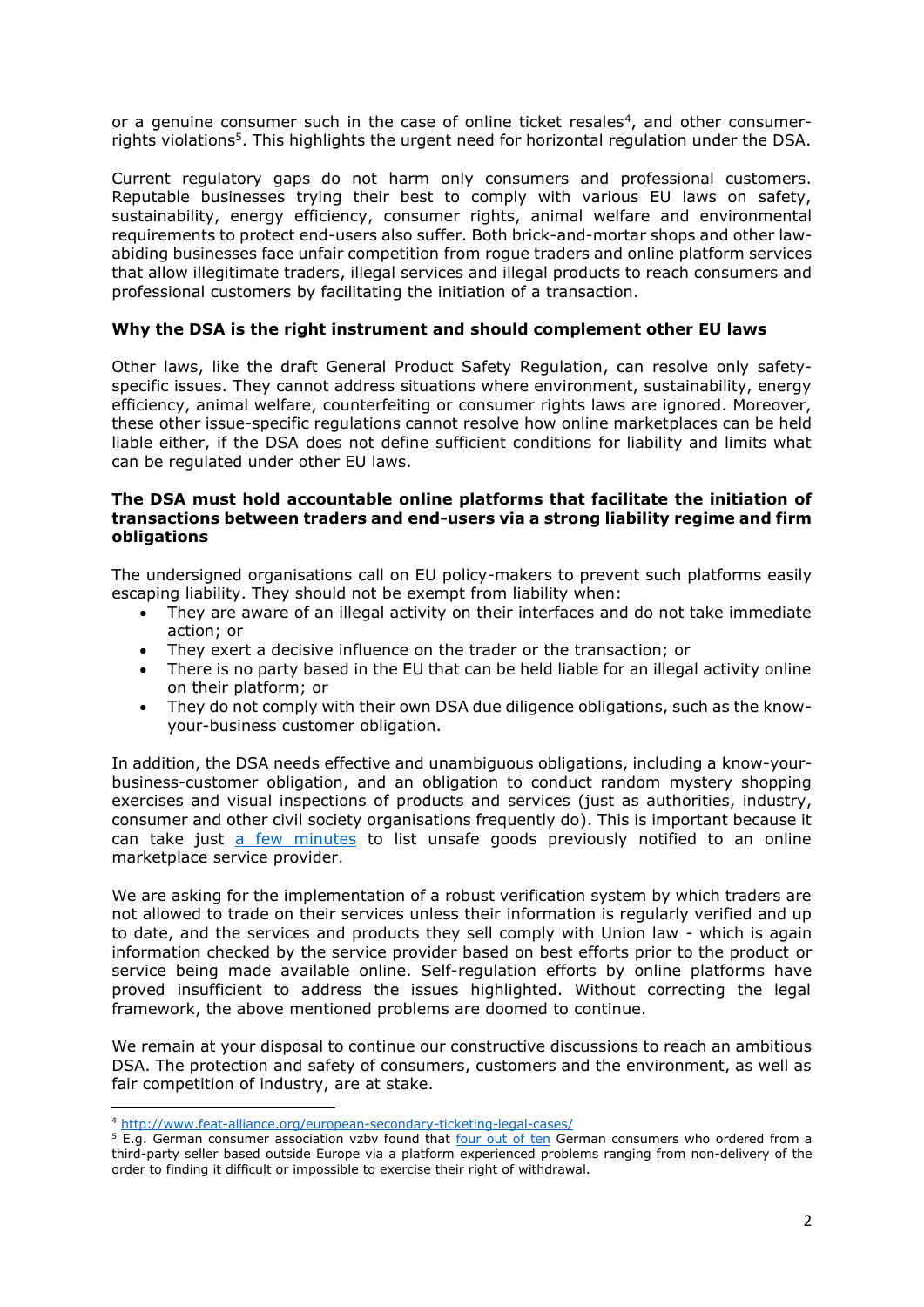or a genuine consumer such in the case of online ticket resales<sup>4</sup>, and other consumerrights violations<sup>5</sup>. This highlights the urgent need for horizontal regulation under the DSA.

Current regulatory gaps do not harm only consumers and professional customers. Reputable businesses trying their best to comply with various EU laws on safety, sustainability, energy efficiency, consumer rights, animal welfare and environmental requirements to protect end-users also suffer. Both brick-and-mortar shops and other lawabiding businesses face unfair competition from rogue traders and online platform services that allow illegitimate traders, illegal services and illegal products to reach consumers and professional customers by facilitating the initiation of a transaction.

## **Why the DSA is the right instrument and should complement other EU laws**

Other laws, like the draft General Product Safety Regulation, can resolve only safetyspecific issues. They cannot address situations where environment, sustainability, energy efficiency, animal welfare, counterfeiting or consumer rights laws are ignored. Moreover, these other issue-specific regulations cannot resolve how online marketplaces can be held liable either, if the DSA does not define sufficient conditions for liability and limits what can be regulated under other EU laws.

## **The DSA must hold accountable online platforms that facilitate the initiation of transactions between traders and end-users via a strong liability regime and firm obligations**

The undersigned organisations call on EU policy-makers to prevent such platforms easily escaping liability. They should not be exempt from liability when:

- They are aware of an illegal activity on their interfaces and do not take immediate action; or
- They exert a decisive influence on the trader or the transaction; or
- There is no party based in the EU that can be held liable for an illegal activity online on their platform; or
- They do not comply with their own DSA due diligence obligations, such as the knowyour-business customer obligation.

In addition, the DSA needs effective and unambiguous obligations, including a know-yourbusiness-customer obligation, and an obligation to conduct random mystery shopping exercises and visual inspections of products and services (just as authorities, industry, consumer and other civil society organisations frequently do). This is important because it can take just [a few minutes](https://www.which.co.uk/news/2019/11/dangerous-toys-and-killer-car-seats-listed-for-sale-at-marketplaces-like-amazon-and-ebay/) to list unsafe goods previously notified to an online marketplace service provider.

We are asking for the implementation of a robust verification system by which traders are not allowed to trade on their services unless their information is regularly verified and up to date, and the services and products they sell comply with Union law - which is again information checked by the service provider based on best efforts prior to the product or service being made available online. Self-regulation efforts by online platforms have proved insufficient to address the issues highlighted. Without correcting the legal framework, the above mentioned problems are doomed to continue.

We remain at your disposal to continue our constructive discussions to reach an ambitious DSA. The protection and safety of consumers, customers and the environment, as well as fair competition of industry, are at stake.

<sup>4</sup> <http://www.feat-alliance.org/european-secondary-ticketing-legal-cases/>

<sup>&</sup>lt;sup>5</sup> E.g. German consumer association vzbv found that <u>four out of ten</u> German consumers who ordered from a third-party seller based outside Europe via a platform experienced problems ranging from non-delivery of the order to finding it difficult or impossible to exercise their right of withdrawal.